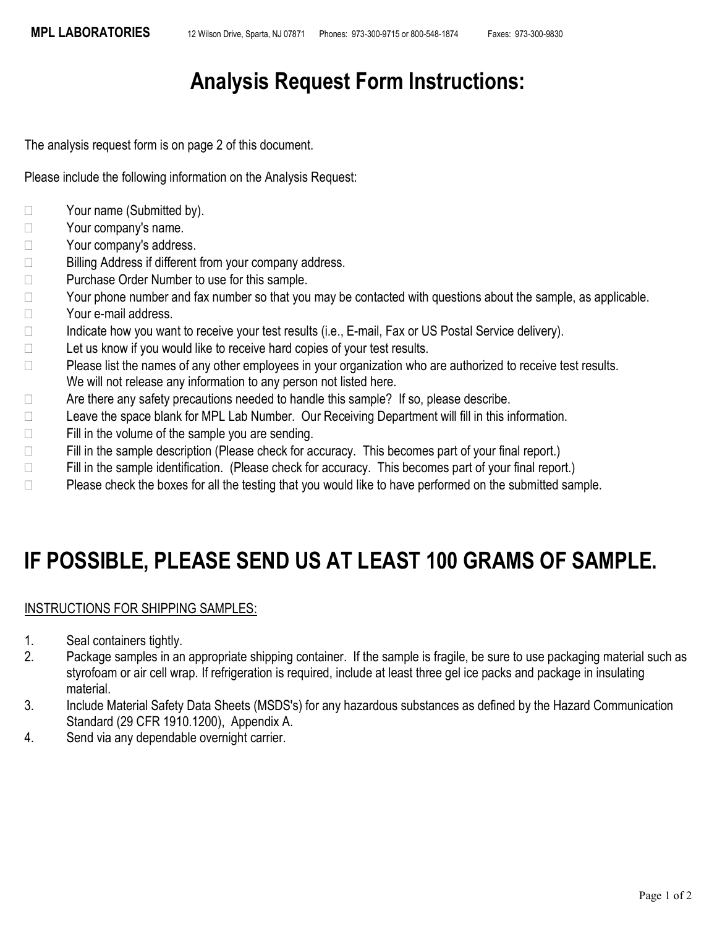## Analysis Request Form Instructions:

The analysis request form is on page 2 of this document.

Please include the following information on the Analysis Request:

- □ Your name (Submitted by).
- □ Your company's name.
- □ Your company's address.
- □ Billing Address if different from your company address.
- □ Purchase Order Number to use for this sample.
- $\Box$  Your phone number and fax number so that you may be contacted with questions about the sample, as applicable.
- □ Your e-mail address.
- $\Box$  Indicate how you want to receive your test results (i.e., E-mail, Fax or US Postal Service delivery).
- $\Box$  Let us know if you would like to receive hard copies of your test results.
- □ Please list the names of any other employees in your organization who are authorized to receive test results. We will not release any information to any person not listed here.
- $\Box$  Are there any safety precautions needed to handle this sample? If so, please describe.
- □ Leave the space blank for MPL Lab Number. Our Receiving Department will fill in this information.
- $\Box$  Fill in the volume of the sample you are sending.
- $\Box$  Fill in the sample description (Please check for accuracy. This becomes part of your final report.)
- $\Box$  Fill in the sample identification. (Please check for accuracy. This becomes part of your final report.)
- $\Box$  Please check the boxes for all the testing that you would like to have performed on the submitted sample.

## IF POSSIBLE, PLEASE SEND US AT LEAST 100 GRAMS OF SAMPLE.

## INSTRUCTIONS FOR SHIPPING SAMPLES:

- 1. Seal containers tightly.
- 2. Package samples in an appropriate shipping container. If the sample is fragile, be sure to use packaging material such as styrofoam or air cell wrap. If refrigeration is required, include at least three gel ice packs and package in insulating material.
- 3. Include Material Safety Data Sheets (MSDS's) for any hazardous substances as defined by the Hazard Communication Standard (29 CFR 1910.1200), Appendix A.
- 4. Send via any dependable overnight carrier.